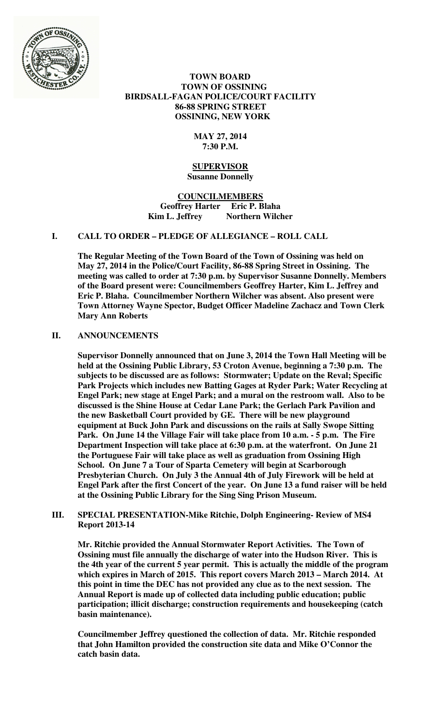

 **TOWN BOARD TOWN OF OSSINING BIRDSALL-FAGAN POLICE/COURT FACILITY 86-88 SPRING STREET OSSINING, NEW YORK** 

# **MAY 27, 2014 7:30 P.M.**

#### **SUPERVISOR Susanne Donnelly**

**COUNCILMEMBERS Geoffrey Harter Eric P. Blaha**  Kim L. Jeffrey Northern Wilcher

# **I. CALL TO ORDER – PLEDGE OF ALLEGIANCE – ROLL CALL**

**The Regular Meeting of the Town Board of the Town of Ossining was held on May 27, 2014 in the Police/Court Facility, 86-88 Spring Street in Ossining. The meeting was called to order at 7:30 p.m. by Supervisor Susanne Donnelly. Members of the Board present were: Councilmembers Geoffrey Harter, Kim L. Jeffrey and Eric P. Blaha. Councilmember Northern Wilcher was absent. Also present were Town Attorney Wayne Spector, Budget Officer Madeline Zachacz and Town Clerk Mary Ann Roberts** 

# **II. ANNOUNCEMENTS**

**Supervisor Donnelly announced that on June 3, 2014 the Town Hall Meeting will be held at the Ossining Public Library, 53 Croton Avenue, beginning a 7:30 p.m. The subjects to be discussed are as follows: Stormwater; Update on the Reval; Specific Park Projects which includes new Batting Gages at Ryder Park; Water Recycling at Engel Park; new stage at Engel Park; and a mural on the restroom wall. Also to be discussed is the Shine House at Cedar Lane Park; the Gerlach Park Pavilion and the new Basketball Court provided by GE. There will be new playground equipment at Buck John Park and discussions on the rails at Sally Swope Sitting Park. On June 14 the Village Fair will take place from 10 a.m. - 5 p.m. The Fire Department Inspection will take place at 6:30 p.m. at the waterfront. On June 21 the Portuguese Fair will take place as well as graduation from Ossining High School. On June 7 a Tour of Sparta Cemetery will begin at Scarborough Presbyterian Church. On July 3 the Annual 4th of July Firework will be held at Engel Park after the first Concert of the year. On June 13 a fund raiser will be held at the Ossining Public Library for the Sing Sing Prison Museum.** 

# **III. SPECIAL PRESENTATION-Mike Ritchie, Dolph Engineering- Review of MS4 Report 2013-14**

**Mr. Ritchie provided the Annual Stormwater Report Activities. The Town of Ossining must file annually the discharge of water into the Hudson River. This is the 4th year of the current 5 year permit. This is actually the middle of the program which expires in March of 2015. This report covers March 2013 – March 2014. At this point in time the DEC has not provided any clue as to the next session. The Annual Report is made up of collected data including public education; public participation; illicit discharge; construction requirements and housekeeping (catch basin maintenance).** 

**Councilmember Jeffrey questioned the collection of data. Mr. Ritchie responded that John Hamilton provided the construction site data and Mike O'Connor the catch basin data.**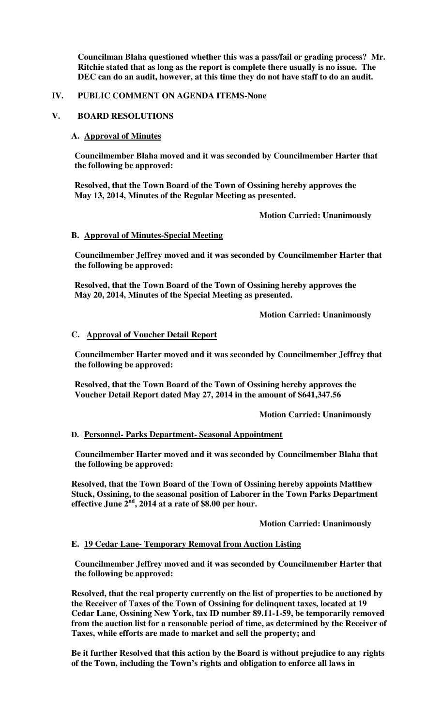**Councilman Blaha questioned whether this was a pass/fail or grading process? Mr. Ritchie stated that as long as the report is complete there usually is no issue. The DEC can do an audit, however, at this time they do not have staff to do an audit.** 

# **IV. PUBLIC COMMENT ON AGENDA ITEMS-None**

# **V. BOARD RESOLUTIONS**

# **A. Approval of Minutes**

**Councilmember Blaha moved and it was seconded by Councilmember Harter that the following be approved:** 

**Resolved, that the Town Board of the Town of Ossining hereby approves the May 13, 2014, Minutes of the Regular Meeting as presented.** 

 **Motion Carried: Unanimously** 

# **B. Approval of Minutes-Special Meeting**

**Councilmember Jeffrey moved and it was seconded by Councilmember Harter that the following be approved:** 

**Resolved, that the Town Board of the Town of Ossining hereby approves the May 20, 2014, Minutes of the Special Meeting as presented.** 

 **Motion Carried: Unanimously** 

# **C. Approval of Voucher Detail Report**

**Councilmember Harter moved and it was seconded by Councilmember Jeffrey that the following be approved:** 

**Resolved, that the Town Board of the Town of Ossining hereby approves the Voucher Detail Report dated May 27, 2014 in the amount of \$641,347.56** 

 **Motion Carried: Unanimously** 

# **D. Personnel- Parks Department- Seasonal Appointment**

**Councilmember Harter moved and it was seconded by Councilmember Blaha that the following be approved:** 

**Resolved, that the Town Board of the Town of Ossining hereby appoints Matthew Stuck, Ossining, to the seasonal position of Laborer in the Town Parks Department effective June 2nd, 2014 at a rate of \$8.00 per hour.** 

# **Motion Carried: Unanimously**

# **E. 19 Cedar Lane- Temporary Removal from Auction Listing**

**Councilmember Jeffrey moved and it was seconded by Councilmember Harter that the following be approved:** 

**Resolved, that the real property currently on the list of properties to be auctioned by the Receiver of Taxes of the Town of Ossining for delinquent taxes, located at 19 Cedar Lane, Ossining New York, tax ID number 89.11-1-59, be temporarily removed from the auction list for a reasonable period of time, as determined by the Receiver of Taxes, while efforts are made to market and sell the property; and** 

**Be it further Resolved that this action by the Board is without prejudice to any rights of the Town, including the Town's rights and obligation to enforce all laws in**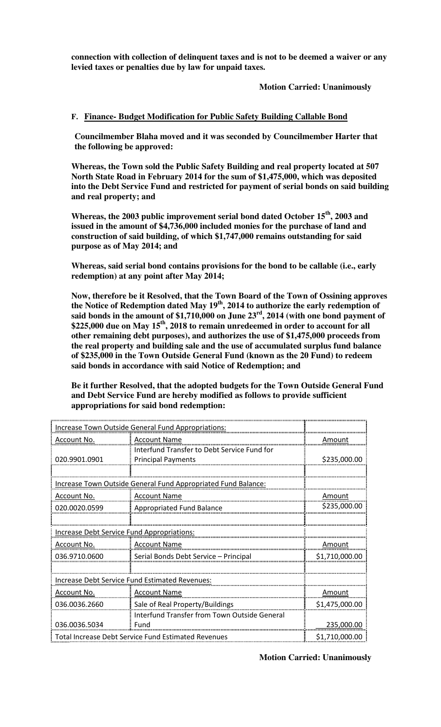**connection with collection of delinquent taxes and is not to be deemed a waiver or any levied taxes or penalties due by law for unpaid taxes.** 

 **Motion Carried: Unanimously** 

# **F. Finance- Budget Modification for Public Safety Building Callable Bond**

**Councilmember Blaha moved and it was seconded by Councilmember Harter that the following be approved:** 

**Whereas, the Town sold the Public Safety Building and real property located at 507 North State Road in February 2014 for the sum of \$1,475,000, which was deposited into the Debt Service Fund and restricted for payment of serial bonds on said building and real property; and** 

**Whereas, the 2003 public improvement serial bond dated October 15th, 2003 and issued in the amount of \$4,736,000 included monies for the purchase of land and construction of said building, of which \$1,747,000 remains outstanding for said purpose as of May 2014; and** 

**Whereas, said serial bond contains provisions for the bond to be callable (i.e., early redemption) at any point after May 2014;** 

**Now, therefore be it Resolved, that the Town Board of the Town of Ossining approves the Notice of Redemption dated May 19th, 2014 to authorize the early redemption of said bonds in the amount of \$1,710,000 on June 23rd, 2014 (with one bond payment of \$225,000 due on May 15th, 2018 to remain unredeemed in order to account for all other remaining debt purposes), and authorizes the use of \$1,475,000 proceeds from the real property and building sale and the use of accumulated surplus fund balance of \$235,000 in the Town Outside General Fund (known as the 20 Fund) to redeem said bonds in accordance with said Notice of Redemption; and** 

**Be it further Resolved, that the adopted budgets for the Town Outside General Fund and Debt Service Fund are hereby modified as follows to provide sufficient appropriations for said bond redemption:** 

| Increase Town Outside General Fund Appropriations: |                                                                      |                |
|----------------------------------------------------|----------------------------------------------------------------------|----------------|
| Account No.                                        | <b>Account Name</b>                                                  | Amount         |
|                                                    | Interfund Transfer to Debt Service Fund for                          |                |
| 020.9901.0901                                      | <b>Principal Payments</b>                                            | \$235,000.00   |
|                                                    |                                                                      |                |
|                                                    | <u>Increase Town Outside General Fund Appropriated Fund Balance:</u> |                |
| <u>Account No.</u>                                 | <b>Account Name</b>                                                  | <u>Amount</u>  |
| 020.0020.0599                                      | Appropriated Fund Balance                                            | \$235,000.00   |
|                                                    |                                                                      |                |
| Increase Debt Service Fund Appropriations:         |                                                                      |                |
| <u>Account No.</u>                                 | Account Name                                                         | Amount         |
| 036.9710.0600                                      | : Serial Bonds Debt Service – Principal                              | \$1,710,000.00 |
|                                                    |                                                                      |                |
|                                                    | Increase Debt Service Fund Estimated Revenues:                       |                |
| Account No.                                        | <b>Account Name</b>                                                  | Amount         |
| 036.0036.2660                                      | Sale of Real Property/Buildings                                      | \$1,475,000.00 |
|                                                    | Interfund Transfer from Town Outside General                         |                |
| 036.0036.5034                                      | Fund                                                                 | 235,000.00     |
|                                                    | <b>Total Increase Debt Service Fund Estimated Revenues</b>           | \$1,710,000.00 |

 **Motion Carried: Unanimously**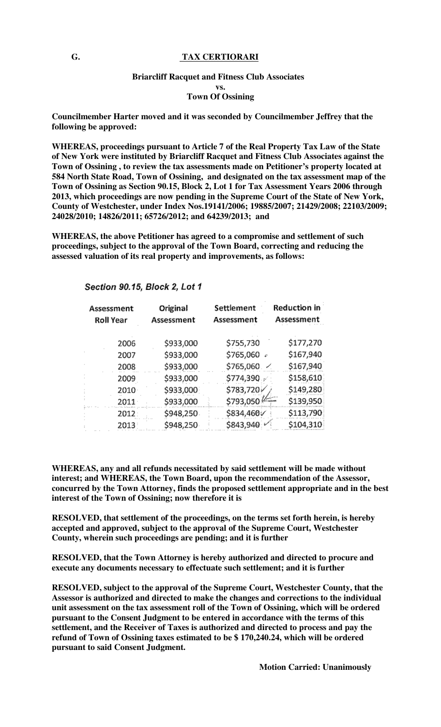### **G. TAX CERTIORARI**

## **Briarcliff Racquet and Fitness Club Associates vs. Town Of Ossining**

**Councilmember Harter moved and it was seconded by Councilmember Jeffrey that the following be approved:** 

**WHEREAS, proceedings pursuant to Article 7 of the Real Property Tax Law of the State of New York were instituted by Briarcliff Racquet and Fitness Club Associates against the Town of Ossining , to review the tax assessments made on Petitioner's property located at 584 North State Road, Town of Ossining, and designated on the tax assessment map of the Town of Ossining as Section 90.15, Block 2, Lot 1 for Tax Assessment Years 2006 through 2013, which proceedings are now pending in the Supreme Court of the State of New York, County of Westchester, under Index Nos.19141/2006; 19885/2007; 21429/2008; 22103/2009; 24028/2010; 14826/2011; 65726/2012; and 64239/2013; and** 

**WHEREAS, the above Petitioner has agreed to a compromise and settlement of such proceedings, subject to the approval of the Town Board, correcting and reducing the assessed valuation of its real property and improvements, as follows:** 

Section 90.15, Block 2, Lot 1

| Assessment<br><b>Roll Year</b> | Original<br>Assessment | Settlement<br>Assessment | Reduction in<br>Assessment |
|--------------------------------|------------------------|--------------------------|----------------------------|
| 2006                           | \$933,000              | \$755,730                | \$177,270                  |
| 2007                           | \$933,000              | \$765,060 +              | \$167,940                  |
| 2008                           | \$933,000              | \$765,060. 4             | \$167,940                  |
| 2009                           | \$933,000              | \$774,390                | \$158,610                  |
| 2010                           | \$933,000              | \$783,720                | \$149,280                  |
| $2011 -$                       | \$933,000              | \$793,050                | \$139,950                  |
| 2012:                          | \$948,250              | \$834,460                | \$113,790                  |
| 2013                           | \$948,250              | \$843,940                | \$104,310                  |

**WHEREAS, any and all refunds necessitated by said settlement will be made without interest; and WHEREAS, the Town Board, upon the recommendation of the Assessor, concurred by the Town Attorney, finds the proposed settlement appropriate and in the best interest of the Town of Ossining; now therefore it is** 

**RESOLVED, that settlement of the proceedings, on the terms set forth herein, is hereby accepted and approved, subject to the approval of the Supreme Court, Westchester County, wherein such proceedings are pending; and it is further** 

**RESOLVED, that the Town Attorney is hereby authorized and directed to procure and execute any documents necessary to effectuate such settlement; and it is further** 

**RESOLVED, subject to the approval of the Supreme Court, Westchester County, that the Assessor is authorized and directed to make the changes and corrections to the individual unit assessment on the tax assessment roll of the Town of Ossining, which will be ordered pursuant to the Consent Judgment to be entered in accordance with the terms of this settlement, and the Receiver of Taxes is authorized and directed to process and pay the refund of Town of Ossining taxes estimated to be \$ 170,240.24, which will be ordered pursuant to said Consent Judgment.** 

 **Motion Carried: Unanimously**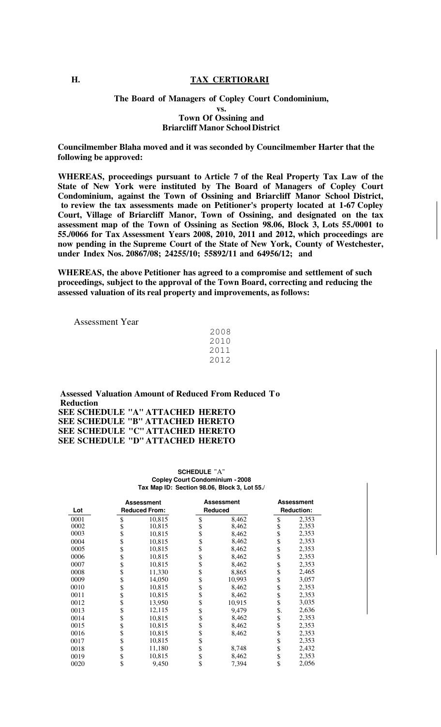#### **H. TAX CERTIORARI**

### **The Board of Managers of Copley Court Condominium, vs. Town Of Ossining and Briarcliff Manor School District**

**Councilmember Blaha moved and it was seconded by Councilmember Harter that the following be approved:** 

**WHEREAS, proceedings pursuant to Article 7 of the Real Property Tax Law of the State of New York were instituted by The Board of Managers of Copley Court Condominium, against the Town of Ossining and Briarcliff Manor School District, to review the tax assessments made on Petitioner's property located at 1-67 Copley Court, Village of Briarcliff Manor, Town of Ossining, and designated on the tax assessment map of the Town of Ossining as Section 98.06, Block 3, Lots 55./0001 to 55./0066 for Tax Assessment Years 2008, 2010, 2011 and 2012, which proceedings are now pending in the Supreme Court of the State of New York, County of Westchester, under Index Nos. 20867/08; 24255/10; 55892/11 and 64956/12; and** 

**WHEREAS, the above Petitioner has agreed to a compromise and settlement of such proceedings, subject to the approval of the Town Board, correcting and reducing the assessed valuation of its real property and improvements, as follows:** 

Assessment Year

| 2008 |  |
|------|--|
| 2010 |  |
| 2011 |  |
| 2012 |  |

**Assessed Valuation Amount of Reduced From Reduced To Reduction SEE SCHEDULE "A" ATTACHED HERETO SEE SCHEDULE "B" ATTACHED HERETO SEE SCHEDULE "C" ATTACHED HERETO SEE SCHEDULE "D" ATTACHED HERETO** 

> **SCHEDULE** "A" **Copley Court Condominium - 2008 Tax Map ID: Section 98.06, Block 3, Lot 55./**

| Lot  | <b>Assessment</b> |        | <b>Assessment</b><br><b>Reduced From:</b><br>Reduced |                    | <b>Assessment</b><br><b>Reduction:</b> |  |
|------|-------------------|--------|------------------------------------------------------|--------------------|----------------------------------------|--|
| 0001 | \$                | 10,815 | \$<br>8,462                                          | \$                 | 2,353                                  |  |
| 0002 |                   | 10,815 | \$<br>8,462                                          | $\dot{\mathbb{S}}$ | 2,353                                  |  |
| 0003 | \$                | 10,815 | \$<br>8,462                                          | \$                 | 2,353                                  |  |
| 0004 | \$                | 10,815 | \$<br>8,462                                          | \$                 | 2,353                                  |  |
| 0005 | \$                | 10,815 | \$<br>8,462                                          | \$                 | 2,353                                  |  |
| 0006 | \$                | 10,815 | \$<br>8,462                                          | \$                 | 2,353                                  |  |
| 0007 | \$                | 10,815 | \$<br>8,462                                          | \$                 | 2,353                                  |  |
| 0008 | \$                | 11,330 | \$<br>8,865                                          | \$                 | 2,465                                  |  |
| 0009 | \$                | 14,050 | \$<br>10,993                                         | \$                 | 3,057                                  |  |
| 0010 | \$                | 10,815 | \$<br>8,462                                          | \$                 | 2,353                                  |  |
| 0011 | \$                | 10,815 | \$<br>8,462                                          | \$                 | 2,353                                  |  |
| 0012 | \$                | 13,950 | \$<br>10,915                                         | \$                 | 3,035                                  |  |
| 0013 | \$                | 12,115 | \$<br>9.479                                          | \$.                | 2,636                                  |  |
| 0014 | \$                | 10,815 | \$<br>8,462                                          | \$                 | 2,353                                  |  |
| 0015 | \$                | 10,815 | \$<br>8,462                                          | \$                 | 2,353                                  |  |
| 0016 | \$                | 10,815 | \$<br>8,462                                          | \$                 | 2,353                                  |  |
| 0017 | \$                | 10,815 | \$                                                   | \$                 | 2,353                                  |  |
| 0018 | \$                | 11,180 | \$<br>8,748                                          | \$                 | 2,432                                  |  |
| 0019 | \$                | 10,815 | \$<br>8,462                                          | \$                 | 2,353                                  |  |
| 0020 | \$                | 9,450  | \$<br>7,394                                          | \$                 | 2,056                                  |  |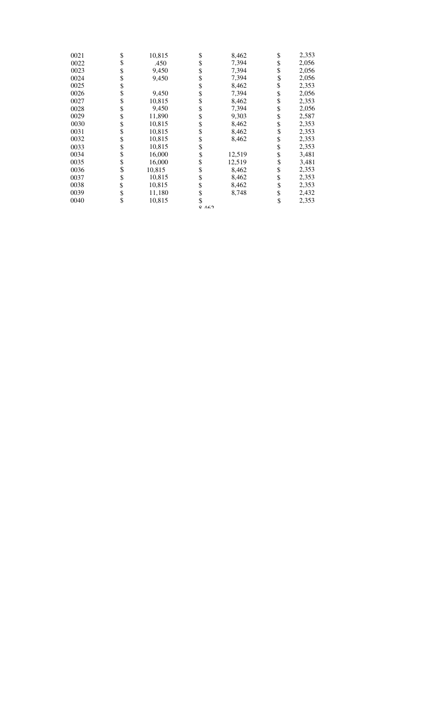| 0021 | \$ | 10,815 | \$<br>8,462  | \$<br>2,353 |
|------|----|--------|--------------|-------------|
| 0022 | \$ | .450   | \$<br>7,394  | \$<br>2,056 |
| 0023 |    | 9,450  | \$<br>7,394  | \$<br>2,056 |
| 0024 |    | 9,450  | \$<br>7,394  | \$<br>2,056 |
| 0025 |    |        | \$<br>8,462  | \$<br>2,353 |
| 0026 | S  | 9,450  | \$<br>7,394  | \$<br>2,056 |
| 0027 | \$ | 10,815 | \$<br>8,462  | \$<br>2,353 |
| 0028 |    | 9,450  | \$<br>7,394  | \$<br>2,056 |
| 0029 | \$ | 11,890 | \$<br>9,303  | \$<br>2,587 |
| 0030 | S  | 10,815 | \$<br>8,462  | \$<br>2,353 |
| 0031 |    | 10,815 | \$<br>8,462  | \$<br>2,353 |
| 0032 |    | 10,815 | \$<br>8,462  | \$<br>2,353 |
| 0033 |    | 10,815 | \$           | \$<br>2,353 |
| 0034 |    | 16,000 | \$<br>12,519 | \$<br>3,481 |
| 0035 |    | 16,000 | \$<br>12,519 | \$<br>3,481 |
| 0036 | \$ | 10,815 | \$<br>8,462  | \$<br>2,353 |
| 0037 | \$ | 10,815 | \$<br>8,462  | \$<br>2,353 |
| 0038 |    | 10,815 | \$<br>8,462  | \$<br>2,353 |
| 0039 |    | 11,180 | \$<br>8,748  | \$<br>2,432 |
| 0040 | \$ | 10,815 | \$           | \$<br>2,353 |

0 167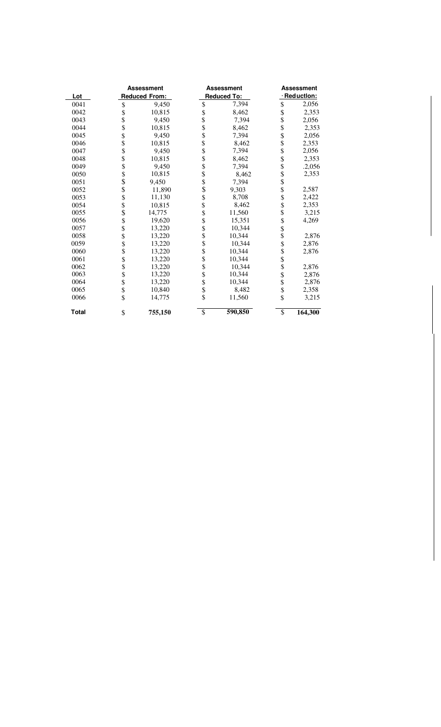|              | <b>Assessment</b>    |         | <b>Assessment</b> |             | <b>Assessment</b>        |         |
|--------------|----------------------|---------|-------------------|-------------|--------------------------|---------|
| Lot          | <b>Reduced From:</b> |         |                   | Reduced To: | · Reduction:             |         |
| 0041         | \$                   | 9,450   | \$                | 7,394       | \$                       | 2,056   |
| 0042         | \$                   | 10,815  |                   | 8,462       | \$                       | 2,353   |
| 0043         | \$                   | 9,450   |                   | 7,394       | \$                       | 2,056   |
| 0044         | \$                   | 10,815  |                   | 8,462       |                          | 2,353   |
| 0045         | \$<br>\$             | 9,450   |                   | 7,394       | \$<br>\$                 | 2,056   |
| 0046         |                      | 10,815  |                   | 8,462       | \$                       | 2,353   |
| 0047         | \$                   | 9,450   |                   | 7,394       | \$                       | 2,056   |
| 0048         | $\dot{\$}$           | 10,815  |                   | 8,462       |                          | 2,353   |
| 0049         | \$                   | 9,450   |                   | 7,394       | \$\$\$                   | .2,056  |
| 0050         | \$<br>\$             | 10,815  |                   | 8,462       |                          | 2,353   |
| 0051         |                      | 9,450   |                   | 7,394       | $\dot{\$}$               |         |
| 0052         | \$<br>\$             | 11,890  |                   | 9,303       | \$                       | 2,587   |
| 0053         |                      | 11,130  |                   | 8,708       | $\ddot{\$}$              | 2,422   |
| 0054         |                      | 10.815  | \$<br>\$          | 8,462       | \$                       | 2,353   |
| 0055         | \$<br>\$             | 14,775  |                   | 11,560      | $\dot{\$}$               | 3,215   |
| 0056         | \$                   | 19,620  | \$\$\$            | 15,351      | \$                       | 4,269   |
| 0057         | \$                   | 13,220  |                   | 10,344      | \$<br>\$                 |         |
| 0058         | \$                   | 13,220  |                   | 10,344      |                          | 2,876   |
| 0059         | \$                   | 13,220  | \$\$\$            | 10.344      | \$                       | 2,876   |
| 0060         | \$                   | 13,220  |                   | 10,344      | \$\$\$                   | 2,876   |
| 0061         | \$                   | 13,220  |                   | 10,344      |                          |         |
| 0062         | \$                   | 13,220  |                   | 10,344      |                          | 2,876   |
| 0063         | \$                   | 13,220  | \$\$\$            | 10,344      | \$                       | 2,876   |
| 0064         | \$                   | 13,220  |                   | 10,344      |                          | 2,876   |
| 0065         | \$                   | 10,840  | \$                | 8,482       | \$                       | 2,358   |
| 0066         | \$                   | 14,775  |                   | 11,560      | \$                       | 3,215   |
| <b>Total</b> | \$                   | 755,150 | $\overline{\$}$   | 590,850     | $\overline{\mathcal{S}}$ | 164,300 |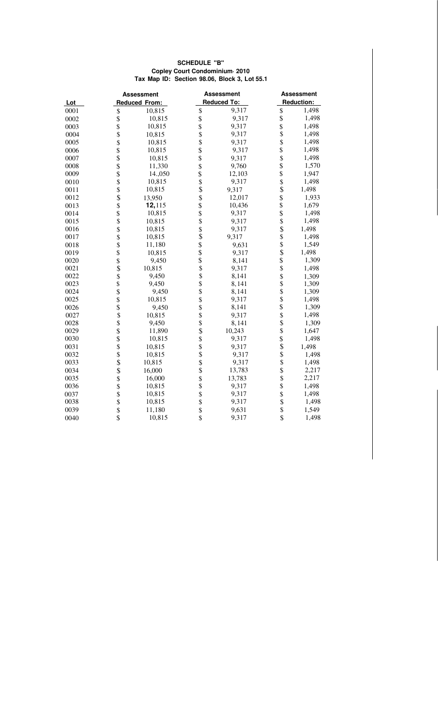#### **SCHEDULE "B" Copley Court Condominium· 2010 Tax Map ID: Section 98.06, Block 3, Lot 55.1**

|      | <b>Assessment</b>      |         | <b>Assessment</b>                 |                    | <b>Assessment</b>       |                   |  |  |
|------|------------------------|---------|-----------------------------------|--------------------|-------------------------|-------------------|--|--|
| Lot  | <b>Reduced From:</b>   |         |                                   | <b>Reduced To:</b> |                         | <b>Reduction:</b> |  |  |
| 0001 |                        | 10,815  | \$                                | 9,317              | \$                      | 1,498             |  |  |
| 0002 |                        | 10,815  | \$                                | 9,317              | $\overline{\mathbf{S}}$ | 1,498             |  |  |
| 0003 |                        | 10,815  |                                   | 9,317              | \$                      | 1,498             |  |  |
| 0004 | \$\$\$\$               | 10,815  | \$                                | 9,317              | \$                      | 1,498             |  |  |
| 0005 |                        | 10,815  | \$                                | 9,317              | \$                      | 1,498             |  |  |
| 0006 |                        | 10,815  | \$                                | 9,317              | \$                      | 1,498             |  |  |
| 0007 |                        | 10,815  |                                   | 9,317              | $\ddot{\$}$             | 1,498             |  |  |
| 0008 |                        | 11,330  |                                   | 9,760              | \$                      | 1,570             |  |  |
| 0009 |                        | 14.,050 | \$<br>\$                          | 12,103             | $\dot{\$}$              | 1,947             |  |  |
| 0010 |                        | 10,815  |                                   | 9,317              | \$<br>\$                | 1,498             |  |  |
| 0011 | \$\$\$\$\$\$\$\$\$\$   | 10,815  | \$<br>\$                          | 9,317              |                         | 1,498             |  |  |
| 0012 |                        | 13,950  | $\ddot{\$}$                       | 12,017             | \$                      | 1,933             |  |  |
| 0013 |                        | 12,115  | \$                                | 10,436             | \$                      | 1,679             |  |  |
| 0014 |                        | 10,815  | $\dot{\$}$                        | 9,317              |                         | 1,498             |  |  |
| 0015 | \$\$\$\$\$\$\$\$\$     | 10,815  | \$\$\$\$\$\$                      | 9,317              | \$\$\$\$\$\$            | 1,498             |  |  |
| 0016 |                        | 10,815  |                                   | 9,317              |                         | 1,498             |  |  |
| 0017 |                        | 10,815  |                                   | 9,317              |                         | 1,498             |  |  |
| 0018 |                        | 11,180  |                                   | 9,631              |                         | 1,549             |  |  |
| 0019 |                        | 10,815  |                                   | 9,317              |                         | 1,498             |  |  |
| 0020 |                        | 9,450   |                                   | 8,141              |                         | 1,309             |  |  |
| 0021 |                        | 10,815  | $\ddot{\textbf{S}}$               | 9,317              | $\ddot{\$}$             | 1,498             |  |  |
| 0022 |                        | 9,450   | $\ddot{\boldsymbol{\mathcal{S}}}$ | 8,141              |                         | 1,309             |  |  |
| 0023 | \$\$\$\$\$\$\$\$\$\$   | 9,450   | \$                                | 8,141              | \$\$\$                  | 1,309             |  |  |
| 0024 |                        | 9,450   | $\dot{\mathbb{S}}$                | 8,141              |                         | 1,309             |  |  |
| 0025 |                        | 10,815  | $\dot{\mathbb{S}}$                | 9,317              |                         | 1,498             |  |  |
| 0026 |                        | 9,450   | \$                                | 8,141              | \$                      | 1,309             |  |  |
| 0027 |                        | 10,815  | \$                                | 9,317              | $\ddot{\$}$             | 1,498             |  |  |
| 0028 |                        | 9,450   | \$<br>\$                          | 8,141              | \$<br>\$                | 1,309             |  |  |
| 0029 |                        | 11,890  |                                   | 10,243             |                         | 1,647             |  |  |
| 0030 |                        | 10,815  | \$                                | 9,317              | $\frac{1}{3}$           | 1,498             |  |  |
| 0031 |                        | 10,815  | \$                                | 9,317              |                         | 1,498             |  |  |
| 0032 |                        | 10,815  | $\bar{\mathbb{S}}$                | 9,317              | \$\$\$\$\$\$            | 1,498             |  |  |
| 0033 |                        | 10,815  | \$                                | 9,317              |                         | 1,498             |  |  |
| 0034 |                        | 16,000  | $\ddot{\$}$                       | 13,783             |                         | 2,217             |  |  |
| 0035 |                        | 16,000  | \$                                | 13,783             |                         | 2,217             |  |  |
| 0036 |                        | 10,815  | \$                                | 9,317              |                         | 1,498             |  |  |
| 0037 | \$\$\$\$\$\$\$\$\$\$\$ | 10,815  | \$                                | 9,317              |                         | 1,498             |  |  |
| 0038 |                        | 10,815  | \$                                | 9,317              | $\frac{1}{3}$           | 1,498             |  |  |
| 0039 |                        | 11,180  | \$                                | 9,631              |                         | 1,549             |  |  |
| 0040 | \$                     | 10,815  | $\hat{\mathcal{L}}$               | 9,317              | \$                      | 1,498             |  |  |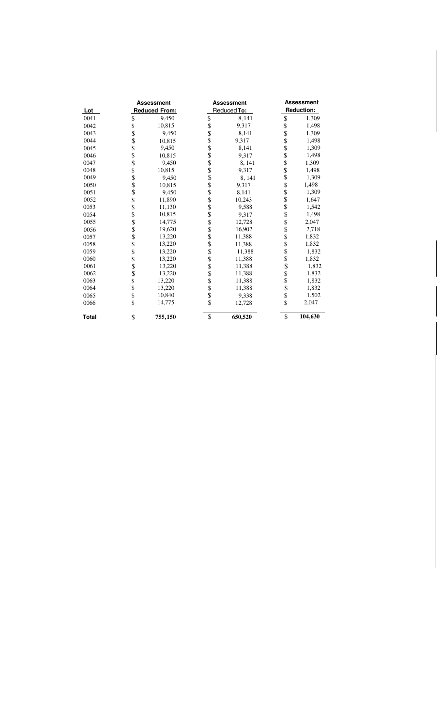|              | <b>Assessment</b> |                      |                         | <b>Assessment</b> |                      | <b>Assessment</b> |  |  |
|--------------|-------------------|----------------------|-------------------------|-------------------|----------------------|-------------------|--|--|
| <u>Lot</u>   |                   | <b>Reduced From:</b> |                         | Reduced To:       |                      | <b>Reduction:</b> |  |  |
| 0041         | \$                | 9,450                | \$                      | 8,141             | \$                   | 1,309             |  |  |
| 0042         |                   | 10,815               |                         | 9,317             | \$                   | 1,498             |  |  |
| 0043         |                   | 9,450                | \$<br>\$                | 8,141             |                      | 1,309             |  |  |
| 0044         |                   | 10,815               | \$                      | 9,317             | \$                   | 1,498             |  |  |
| 0045         | \$\$\$\$          | 9,450                |                         | 8,141             | \$<br>\$             | 1,309             |  |  |
| 0046         |                   | 10,815               | \$\$\$\$\$              | 9,317             |                      | 1,498             |  |  |
| 0047         |                   | 9,450                |                         | 8,141             |                      | 1,309             |  |  |
| 0048         |                   | 10,815               |                         | 9,317             | 8888888              | 1,498             |  |  |
| 0049         |                   | 9,450                |                         | 8,141             |                      | 1,309             |  |  |
| 0050         |                   | 10,815               |                         | 9,317             |                      | 1,498             |  |  |
| 0051         |                   | 9,450                | \$<br>\$                | 8,141             |                      | 1,309             |  |  |
| 0052         |                   | 11,890               | \$                      | 10,243            |                      | 1,647             |  |  |
| 0053         |                   | 11,130               | \$                      | 9,588             | \$<br>\$             | 1,542             |  |  |
| 0054         |                   | 10,815               | $\dot{\$}$              | 9,317             |                      | 1,498             |  |  |
| 0055         |                   | 14,775               | $\dot{\$}$              | 12,728            |                      | 2,047             |  |  |
| 0056         |                   | 19,620               | $\ddot{\$}$             | 16,902            |                      | 2,718             |  |  |
| 0057         |                   | 13,220               | $\dot{\$}$              | 11,388            |                      | 1,832             |  |  |
| 0058         |                   | 13,220               |                         | 11,388            | \$\$\$\$\$\$\$\$\$\$ | 1,832             |  |  |
| 0059         |                   | 13,220               | \$<br>\$                | 11,388            |                      | 1,832             |  |  |
| 0060         |                   | 13,220               |                         | 11,388            |                      | 1,832             |  |  |
| 0061         |                   | 13,220               |                         | 11,388            |                      | 1,832             |  |  |
| 0062         |                   | 13,220               | \$<br>\$                | 11,388            |                      | 1,832             |  |  |
| 0063         |                   | 13,220               | \$                      | 11,388            |                      | 1,832             |  |  |
| 0064         | \$                | 13,220               | \$                      | 11,388            | $\frac{1}{3}$        | 1,832             |  |  |
| 0065         | \$                | 10,840               | $\ddot{\$}$             | 9,338             |                      | 1,502             |  |  |
| 0066         | \$                | 14,775               | $\overline{\mathbf{s}}$ | 12,728            | $\hat{S}$            | 2,047             |  |  |
| <b>Total</b> | \$                | 755,150              | \$                      | 650,520           | $\overline{\$}$      | 104,630           |  |  |
|              |                   |                      |                         |                   |                      |                   |  |  |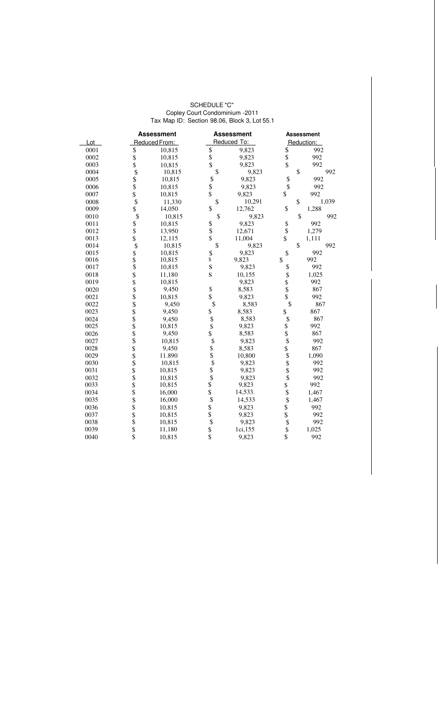#### SCHEDULE "C" Copley Court Condominium -2011 Tax Map ID: Section 98.06, Block 3, Lot 55.1

|      |                                                                       | <b>Assessment</b> |                                                                       | <b>Assessment</b> |                                                                       | <b>Assessment</b> |  |
|------|-----------------------------------------------------------------------|-------------------|-----------------------------------------------------------------------|-------------------|-----------------------------------------------------------------------|-------------------|--|
| Lot  |                                                                       | Reduced From:     |                                                                       | Reduced To:       |                                                                       | Reduction:        |  |
| 0001 | \$                                                                    | 10,815            |                                                                       | 9,823             |                                                                       | 992               |  |
| 0002 |                                                                       | 10,815            | \$<br>\$                                                              | 9,823             | \$<br>\$                                                              | 992               |  |
| 0003 | \$<br>\$                                                              | 10,815            |                                                                       | 9,823             |                                                                       | 992               |  |
| 0004 |                                                                       | 10,815            | \$                                                                    | 9,823             | \$                                                                    | 992               |  |
| 0005 | $\begin{array}{c} \mathsf{S} \\ \mathsf{S} \\ \mathsf{S} \end{array}$ | 10,815            | $\begin{array}{c} \mathbb{S} \\ \mathbb{S} \\ \mathbb{S} \end{array}$ | 9,823             |                                                                       | 992               |  |
| 0006 |                                                                       | 10,815            |                                                                       | 9,823             | $\frac{1}{2}$                                                         | 992               |  |
| 0007 |                                                                       | 10,815            |                                                                       | 9,823             | \$                                                                    | 992               |  |
| 0008 | $\overline{\$}$                                                       | 11,330            | \$                                                                    | 10,291            | \$                                                                    | 1,039             |  |
| 0009 | $\overline{\mathbf{s}}$                                               | 14,050            | \$                                                                    | 12,762            | \$                                                                    | 1,288             |  |
| 0010 | $\begin{array}{c}\n\ast \\ \ast \\ \ast \\ \ast\n\end{array}$         | 10,815            | \$                                                                    | 9,823             | \$                                                                    | 992               |  |
| 0011 |                                                                       | 10,815            |                                                                       | 9,823             | \$<br>\$                                                              | 992               |  |
| 0012 |                                                                       | 13,950            | \$<br>\$                                                              | 12,671            |                                                                       | 1,279             |  |
| 0013 |                                                                       | 12,115            |                                                                       | 11,004            | \$                                                                    | 1,111             |  |
| 0014 | $\mathbf{\hat{S}}$                                                    | 10,815            | \$                                                                    | 9,823             | \$                                                                    | 992               |  |
| 0015 | \$<br>\$                                                              | 10,815            | $\frac{\mathbb{S}}{\mathbb{S}}$                                       | 9.823             | \$                                                                    | 992               |  |
| 0016 |                                                                       | 10,815            |                                                                       | 9,823             | \$                                                                    | 992               |  |
| 0017 |                                                                       | 10,815            | S                                                                     | 9,823             | \$                                                                    | 992               |  |
| 0018 |                                                                       | 11,180            | S                                                                     | 10,155            | \$                                                                    | 1,025             |  |
| 0019 |                                                                       | 10,815            |                                                                       | 9,823             |                                                                       | 992               |  |
| 0020 |                                                                       | 9,450             | \$                                                                    | 8,583             | \$<br>\$                                                              | 867               |  |
| 0021 |                                                                       | 10,815            |                                                                       | 9,823             |                                                                       | 992               |  |
| 0022 |                                                                       | 9,450             | \$                                                                    | 8,583             | \$                                                                    | 867               |  |
| 0023 |                                                                       | 9,450             | \$                                                                    | 8,583             | \$                                                                    | 867               |  |
| 0024 |                                                                       | 9,450             | $\begin{array}{c} \mathsf{S} \\ \mathsf{S} \\ \mathsf{S} \end{array}$ | 8,583             | \$                                                                    | 867               |  |
| 0025 |                                                                       | 10,815            |                                                                       | 9,823             | \$                                                                    | 992               |  |
| 0026 |                                                                       | 9,450             |                                                                       | 8,583             | $\dot{\mathbb{S}}$                                                    | 867               |  |
| 0027 |                                                                       | 10,815            | \$                                                                    | 9,823             | $\mathbb S$                                                           | 992               |  |
| 0028 |                                                                       | 9,450             | \$<br>\$                                                              | 8,583             |                                                                       | 867               |  |
| 0029 | \$\$\$\$\$\$\$\$\$\$\$\$\$\$\$\$\$\$\$                                | 11.890            |                                                                       | 10,800            | \$\$\$\$\$\$\$                                                        | 1,090             |  |
| 0030 |                                                                       | 10,815            |                                                                       | 9,823             |                                                                       | 992               |  |
| 0031 |                                                                       | 10,815            | $\begin{array}{c} \mathbb{S} \\ \mathbb{S} \\ \mathbb{S} \end{array}$ | 9,823             |                                                                       | 992               |  |
| 0032 |                                                                       | 10,815            |                                                                       | 9,823             |                                                                       | 992               |  |
| 0033 |                                                                       | 10,815            | \$<br>\$                                                              | 9,823             |                                                                       | 992               |  |
| 0034 |                                                                       | 16,000            |                                                                       | 14,533.           |                                                                       | 1,467             |  |
| 0035 |                                                                       | 16,000            | \$                                                                    | 14,533            |                                                                       | 1,467             |  |
| 0036 | \$\$\$\$\$                                                            | 10,815            | \$<br>\$<br>\$<br>\$                                                  | 9,823             | $\begin{array}{c} \mathbb{S} \\ \mathbb{S} \\ \mathbb{S} \end{array}$ | 992               |  |
| 0037 |                                                                       | 10,815            |                                                                       | 9,823             |                                                                       | 992               |  |
| 0038 |                                                                       | 10,815            |                                                                       | 9,823             | $\overline{\$}$                                                       | 992               |  |
| 0039 |                                                                       | 11,180            |                                                                       | 1ci,155           |                                                                       | 1,025             |  |
| 0040 | $\overline{\$}$                                                       | 10,815            |                                                                       | 9,823             | $\overline{\$}$                                                       | 992               |  |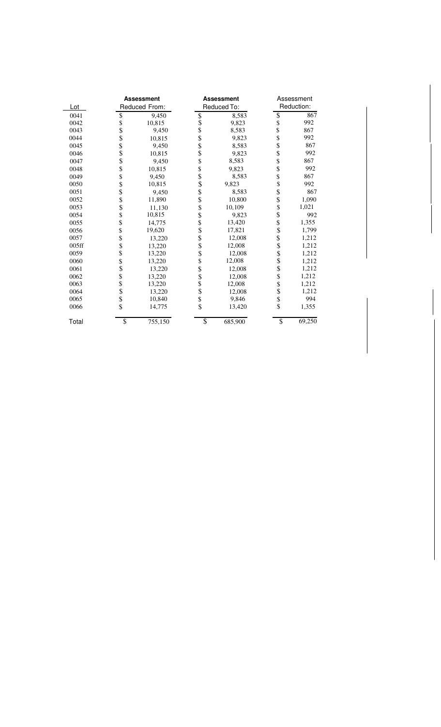|       | <b>Assessment</b>       |               | <b>Assessment</b> |             | Assessment               |            |
|-------|-------------------------|---------------|-------------------|-------------|--------------------------|------------|
| Lot   |                         | Reduced From: |                   | Reduced To: |                          | Reduction: |
| 0041  |                         | 9,450         |                   | 8,583       | $\frac{1}{2}$            | 867        |
| 0042  | \$<br>\$                | 10,815        | \$<br>\$          | 9,823       |                          | 992        |
| 0043  |                         | 9,450         | $\ddot{\$}$       | 8,583       | \$                       | 867        |
| 0044  | \$\$\$                  | 10,815        | \$<br>\$          | 9,823       | \$                       | 992        |
| 0045  |                         | 9,450         |                   | 8,583       | \$                       | 867        |
| 0046  | \$                      | 10,815        | \$                | 9,823       | \$                       | 992        |
| 0047  |                         | 9,450         | \$                | 8,583       | \$                       | 867        |
| 0048  | \$                      | 10,815        |                   | 9,823       | \$<br>\$                 | 992        |
| 0049  |                         | 9,450         | \$<br>\$          | 8,583       |                          | 867        |
| 0050  | \$                      | 10,815        | \$                | 9,823       |                          | 992        |
| 0051  | \$                      | 9.450         |                   | 8,583       | \$<br>\$                 | 867        |
| 0052  | \$<br>\$                | 11,890        | \$                | 10,800      | \$<br>\$                 | 1,090      |
| 0053  |                         | 11,130        | \$                | 10,109      |                          | 1,021      |
| 0054  |                         | 10,815        | \$                | 9,823       | \$<br>\$                 | 992        |
| 0055  | \$<br>\$                | 14,775        |                   | 13,420      |                          | 1,355      |
| 0056  |                         | 19,620        | \$\$\$\$\$        | 17,821      |                          | 1,799      |
| 0057  | \$                      | 13,220        |                   | 12,008      | \$<br>\$                 | 1,212      |
| 005ff | \$<br>\$                | 13,220        |                   | 12,008      |                          | 1,212      |
| 0059  |                         | 13,220        |                   | 12,008      |                          | 1,212      |
| 0060  | \$<br>\$                | 13,220        |                   | 12,008      | \$<br>\$                 | 1,212      |
| 0061  |                         | 13,220        | \$                | 12,008      |                          | 1,212      |
| 0062  |                         | 13,220        |                   | 12,008      | \$                       | 1,212      |
| 0063  | $\frac{\$}{\$}$         | 13,220        | $\frac{\$}{\$}$   | 12,008      | \$<br>\$                 | 1,212      |
| 0064  |                         | 13,220        |                   | 12,008      |                          | 1,212      |
| 0065  | \$<br>\$                | 10,840        | $\frac{1}{3}$     | 9,846       | \$<br>\$                 | 994        |
| 0066  |                         | 14,775        |                   | 13,420      |                          | 1,355      |
| Total | $\overline{\mathbb{S}}$ | 755,150       | $\overline{\$}$   | 685,900     | $\overline{\mathcal{S}}$ | 69,250     |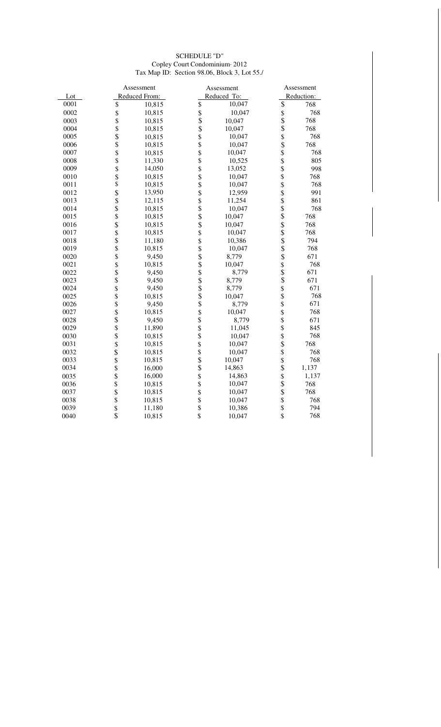#### SCHEDULE "D" Copley Court Condominium· 2012 Tax Map ID: Section 98.06, Block 3, Lot 55./

|      | Assessment                |               |                                                                       | Assessment  |                    | Assessment |  |
|------|---------------------------|---------------|-----------------------------------------------------------------------|-------------|--------------------|------------|--|
| Lot  |                           | Reduced From: |                                                                       | Reduced To: |                    | Reduction: |  |
| 0001 | \$                        | 10,815        | \$                                                                    | 10,047      | \$                 | 768        |  |
| 0002 |                           | 10,815        |                                                                       | 10,047      |                    | 768        |  |
| 0003 | \$\$\$\$\$\$              | 10,815        | $\begin{array}{c} \mathbb{S} \\ \mathbb{S} \\ \mathbb{S} \end{array}$ | 10,047      | \$<br>\$           | 768        |  |
| 0004 |                           | 10,815        |                                                                       | 10,047      |                    | 768        |  |
| 0005 |                           | 10,815        | \$                                                                    | 10,047      |                    | 768        |  |
| 0006 |                           | 10,815        |                                                                       | 10,047      |                    | 768        |  |
| 0007 |                           | 10,815        | $\frac{1}{3}$                                                         | 10,047      | \$\$\$\$           | 768        |  |
| 0008 |                           | 11,330        |                                                                       | 10,525      |                    | 805        |  |
| 0009 |                           | 14,050        |                                                                       | 13,052      |                    | 998        |  |
| 0010 | <b>\$\$\$\$\$\$\$\$\$</b> | 10,815        | \$\$\$\$\$\$\$\$\$\$                                                  | 10,047      | \$\$\$\$           | 768        |  |
| 0011 |                           | 10,815        |                                                                       | 10,047      |                    | 768        |  |
| 0012 |                           | 13,950        |                                                                       | 12,959      |                    | 991        |  |
| 0013 |                           | 12,115        |                                                                       | 11,254      | ୫୫୫୫୫୫୫୫୫୫୫        | 861        |  |
| 0014 |                           | 10,815        |                                                                       | 10,047      |                    | 768        |  |
| 0015 |                           | 10,815        |                                                                       | 10,047      |                    | 768        |  |
| 0016 |                           | 10,815        |                                                                       | 10,047      |                    | 768        |  |
| 0017 |                           | 10,815        |                                                                       | 10,047      |                    | 768        |  |
| 0018 | \$\$\$                    | 11,180        |                                                                       | 10,386      |                    | 794        |  |
| 0019 |                           | 10,815        | \$\$\$\$\$\$\$\$\$                                                    | 10,047      |                    | 768        |  |
| 0020 |                           | 9,450         |                                                                       | 8,779       |                    | 671        |  |
| 0021 |                           | 10,815        |                                                                       | 10,047      |                    | 768        |  |
| 0022 |                           | 9,450         |                                                                       | 8,779       |                    | 671        |  |
| 0023 | 8888                      | 9,450         |                                                                       | 8,779       |                    | 671        |  |
| 0024 |                           | 9,450         |                                                                       | 8,779       |                    | 671        |  |
| 0025 |                           | 10,815        |                                                                       | 10,047      |                    | 768        |  |
| 0026 | \$\$\$\$                  | 9,450         | $\dot{\$}$                                                            | 8,779       | $\dot{\mathbb{S}}$ | 671        |  |
| 0027 |                           | 10,815        | \$\$\$                                                                | 10,047      | \$\$\$             | 768        |  |
| 0028 |                           | 9,450         |                                                                       | 8,779       |                    | 671        |  |
| 0029 |                           | 11,890        |                                                                       | 11,045      |                    | 845        |  |
| 0030 |                           | 10,815        | \$<br>\$                                                              | 10,047      | \$<br>\$           | 768        |  |
| 0031 |                           | 10,815        |                                                                       | 10,047      |                    | 768        |  |
| 0032 |                           | 10,815        | \$\$\$                                                                | 10,047      | \$<br>\$           | 768        |  |
| 0033 |                           | 10,815        |                                                                       | 10,047      |                    | 768        |  |
| 0034 |                           | 16,000        |                                                                       | 14,863      | $\dot{\$}$         | 1,137      |  |
| 0035 |                           | 16,000        | \$                                                                    | 14,863      |                    | 1,137      |  |
| 0036 | \$\$\$\$\$\$\$\$\$\$      | 10,815        | \$                                                                    | 10,047      | \$\$\$\$           | 768        |  |
| 0037 |                           | 10,815        | \$                                                                    | 10,047      |                    | 768        |  |
| 0038 |                           | 10,815        | $\dot{\mathbb{S}}$                                                    | 10,047      |                    | 768        |  |
| 0039 | $\ddot{\text{S}}$         | 11,180        | \$                                                                    | 10,386      | $\hat{\mathbb{S}}$ | 794        |  |
| 0040 | $\overline{\mathbf{S}}$   | 10,815        | \$                                                                    | 10,047      | \$                 | 768        |  |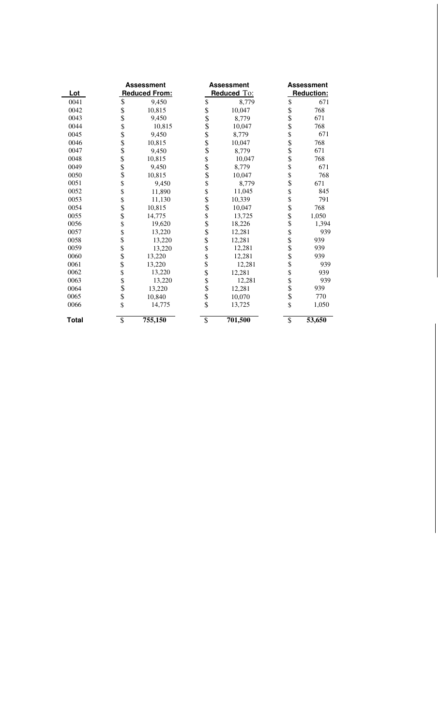|              | <b>Assessment</b> |                      |             | <b>Assessment</b> | <b>Assessment</b>        |        |
|--------------|-------------------|----------------------|-------------|-------------------|--------------------------|--------|
| Lot          |                   | <b>Reduced From:</b> | Reduced To: |                   | Reduction:               |        |
| 0041         | \$                | 9,450                | \$          | 8,779             | \$                       | 671    |
| 0042         |                   | 10,815               |             | 10,047            |                          | 768    |
| 0043         | \$<br>\$          | 9,450                |             | 8,779             | \$<br>\$                 | 671    |
| 0044         | \$                | 10,815               |             | 10,047            | \$                       | 768    |
| 0045         |                   | 9,450                |             | 8,779             | \$                       | 671    |
| 0046         | \$\$\$\$\$        | 10,815               |             | 10,047            |                          | 768    |
| 0047         |                   | 9,450                |             | 8,779             | \$<br>\$                 | 671    |
| 0048         |                   | 10,815               |             | 10,047            | \$                       | 768    |
| 0049         |                   | 9,450                |             | 8,779             | \$                       | 671    |
| 0050         | \$                | 10,815               |             | 10,047            | \$                       | 768    |
| 0051         | \$                | 9,450                |             | 8,779             | \$                       | 671    |
| 0052         | \$                | 11,890               |             | 11,045            | \$                       | 845    |
| 0053         | \$                | 11,130               |             | 10,339            | \$                       | 791    |
| 0054         | \$                | 10,815               |             | 10,047            | \$                       | 768    |
| 0055         | \$                | 14,775               |             | 13,725            | $\ddot{\$}$              | 1,050  |
| 0056         | \$                | 19,620               |             | 18,226            | \$                       | 1,394  |
| 0057         | \$                | 13,220               |             | 12,281            | \$                       | 939    |
| 0058         | \$                | 13,220               |             | 12,281            |                          | 939    |
| 0059         |                   | 13,220               | $\ddot{\$}$ | 12,281            | \$<br>\$                 | 939    |
| 0060         | \$\$\$            | 13,220               | \$          | 12,281            | \$                       | 939    |
| 0061         |                   | 13,220               | \$          | 12,281            | $\dot{\$}$               | 939    |
| 0062         | \$                | 13,220               |             | 12,281            | \$                       | 939    |
| 0063         | \$                | 13,220               | \$\$\$\$    | 12,281            | \$                       | 939    |
| 0064         |                   | 13,220               |             | 12,281            | $\dot{\$}$               | 939    |
| 0065         | \$                | 10,840               |             | 10,070            | \$                       | 770    |
| 0066         | \$                | 14,775               |             | 13,725            | \$                       | 1,050  |
| <b>Total</b> | \$                | 755,150              | \$          | 701,500           | $\overline{\mathcal{S}}$ | 53,650 |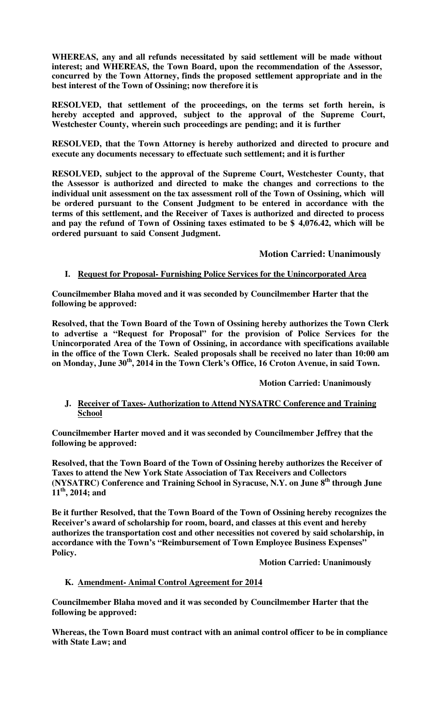**WHEREAS, any and all refunds necessitated by said settlement will be made without interest; and WHEREAS, the Town Board, upon the recommendation of the Assessor, concurred by the Town Attorney, finds the proposed settlement appropriate and in the best interest of the Town of Ossining; now therefore it is** 

**RESOLVED, that settlement of the proceedings, on the terms set forth herein, is hereby accepted and approved, subject to the approval of the Supreme Court, Westchester County, wherein such proceedings are pending; and it is further** 

**RESOLVED, that the Town Attorney is hereby authorized and directed to procure and execute any documents necessary to effectuate such settlement; and it is further** 

**RESOLVED, subject to the approval of the Supreme Court, Westchester County, that the Assessor is authorized and directed to make the changes and corrections to the individual unit assessment on the tax assessment roll of the Town of Ossining, which will be ordered pursuant to the Consent Judgment to be entered in accordance with the terms of this settlement, and the Receiver of Taxes is authorized and directed to process and pay the refund of Town of Ossining taxes estimated to be \$ 4,076.42, which will be ordered pursuant to said Consent Judgment.** 

 **Motion Carried: Unanimously**

# **I. Request for Proposal- Furnishing Police Services for the Unincorporated Area**

**Councilmember Blaha moved and it was seconded by Councilmember Harter that the following be approved:** 

**Resolved, that the Town Board of the Town of Ossining hereby authorizes the Town Clerk to advertise a "Request for Proposal" for the provision of Police Services for the Unincorporated Area of the Town of Ossining, in accordance with specifications available in the office of the Town Clerk. Sealed proposals shall be received no later than 10:00 am on Monday, June 30th, 2014 in the Town Clerk's Office, 16 Croton Avenue, in said Town.** 

 **Motion Carried: Unanimously** 

### **J. Receiver of Taxes- Authorization to Attend NYSATRC Conference and Training School**

**Councilmember Harter moved and it was seconded by Councilmember Jeffrey that the following be approved:** 

**Resolved, that the Town Board of the Town of Ossining hereby authorizes the Receiver of Taxes to attend the New York State Association of Tax Receivers and Collectors (NYSATRC) Conference and Training School in Syracuse, N.Y. on June 8th through June 11th, 2014; and** 

**Be it further Resolved, that the Town Board of the Town of Ossining hereby recognizes the Receiver's award of scholarship for room, board, and classes at this event and hereby authorizes the transportation cost and other necessities not covered by said scholarship, in accordance with the Town's "Reimbursement of Town Employee Business Expenses" Policy.** 

 **Motion Carried: Unanimously** 

# **K. Amendment- Animal Control Agreement for 2014**

**Councilmember Blaha moved and it was seconded by Councilmember Harter that the following be approved:** 

**Whereas, the Town Board must contract with an animal control officer to be in compliance with State Law; and**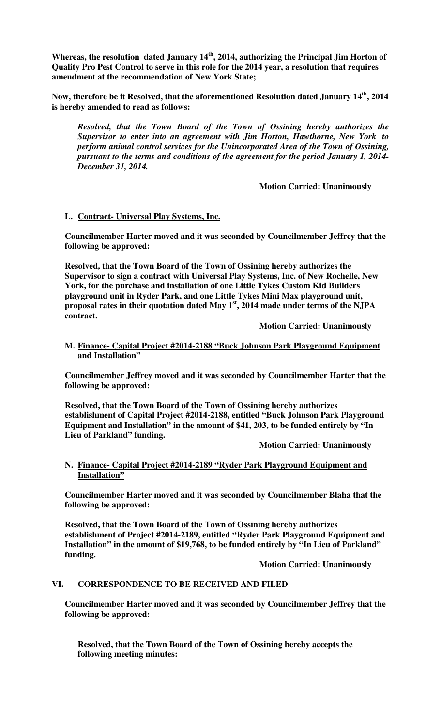**Whereas, the resolution dated January 14th, 2014, authorizing the Principal Jim Horton of Quality Pro Pest Control to serve in this role for the 2014 year, a resolution that requires amendment at the recommendation of New York State;** 

**Now, therefore be it Resolved, that the aforementioned Resolution dated January 14th, 2014 is hereby amended to read as follows:** 

*Resolved, that the Town Board of the Town of Ossining hereby authorizes the Supervisor to enter into an agreement with Jim Horton, Hawthorne, New York to perform animal control services for the Unincorporated Area of the Town of Ossining, pursuant to the terms and conditions of the agreement for the period January 1, 2014- December 31, 2014.* 

**Motion Carried: Unanimously**

# **L. Contract- Universal Play Systems, Inc.**

**Councilmember Harter moved and it was seconded by Councilmember Jeffrey that the following be approved:** 

**Resolved, that the Town Board of the Town of Ossining hereby authorizes the Supervisor to sign a contract with Universal Play Systems, Inc. of New Rochelle, New York, for the purchase and installation of one Little Tykes Custom Kid Builders playground unit in Ryder Park, and one Little Tykes Mini Max playground unit, proposal rates in their quotation dated May 1st, 2014 made under terms of the NJPA contract.** 

**Motion Carried: Unanimously**

### **M. Finance- Capital Project #2014-2188 "Buck Johnson Park Playground Equipment and Installation"**

**Councilmember Jeffrey moved and it was seconded by Councilmember Harter that the following be approved:** 

**Resolved, that the Town Board of the Town of Ossining hereby authorizes establishment of Capital Project #2014-2188, entitled "Buck Johnson Park Playground Equipment and Installation" in the amount of \$41, 203, to be funded entirely by "In Lieu of Parkland" funding.** 

 **Motion Carried: Unanimously** 

### **N. Finance- Capital Project #2014-2189 "Ryder Park Playground Equipment and Installation"**

**Councilmember Harter moved and it was seconded by Councilmember Blaha that the following be approved:** 

**Resolved, that the Town Board of the Town of Ossining hereby authorizes establishment of Project #2014-2189, entitled "Ryder Park Playground Equipment and Installation" in the amount of \$19,768, to be funded entirely by "In Lieu of Parkland" funding.** 

 **Motion Carried: Unanimously**

# **VI. CORRESPONDENCE TO BE RECEIVED AND FILED**

**Councilmember Harter moved and it was seconded by Councilmember Jeffrey that the following be approved:** 

**Resolved, that the Town Board of the Town of Ossining hereby accepts the following meeting minutes:**